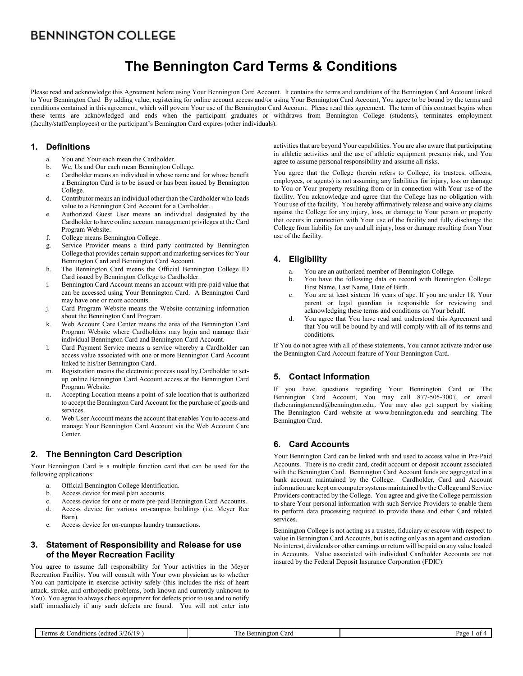# **The Bennington Card Terms & Conditions**

Please read and acknowledge this Agreement before using Your Bennington Card Account. It contains the terms and conditions of the Bennington Card Account linked to Your Bennington Card By adding value, registering for online account access and/or using Your Bennington Card Account, You agree to be bound by the terms and conditions contained in this agreement, which will govern Your use of the Bennington Card Account. Please read this agreement. The term of this contract begins when these terms are acknowledged and ends when the participant graduates or withdraws from Bennington College (students), terminates employment (faculty/staff/employees) or the participant's Bennington Card expires (other individuals).

### **1. Definitions**

- a. You and Your each mean the Cardholder.
- b. We, Us and Our each mean Bennington College.
- c. Cardholder means an individual in whose name and for whose benefit a Bennington Card is to be issued or has been issued by Bennington College.
- d. Contributor means an individual other than the Cardholder who loads value to a Bennington Card Account for a Cardholder.
- e. Authorized Guest User means an individual designated by the Cardholder to have online account management privileges at the Card Program Website.
- f. College means Bennington College.
- g. Service Provider means a third party contracted by Bennington College that provides certain support and marketing services for Your Bennington Card and Bennington Card Account.
- h. The Bennington Card means the Official Bennington College ID Card issued by Bennington College to Cardholder.
- i. Bennington Card Account means an account with pre-paid value that can be accessed using Your Bennington Card. A Bennington Card may have one or more accounts.
- j. Card Program Website means the Website containing information about the Bennington Card Program.
- k. Web Account Care Center means the area of the Bennington Card Program Website where Cardholders may login and manage their individual Bennington Card and Bennington Card Account.
- l. Card Payment Service means a service whereby a Cardholder can access value associated with one or more Bennington Card Account linked to his/her Bennington Card.
- m. Registration means the electronic process used by Cardholder to setup online Bennington Card Account access at the Bennington Card Program Website.
- n. Accepting Location means a point-of-sale location that is authorized to accept the Bennington Card Account for the purchase of goods and services.
- o. Web User Account means the account that enables You to access and manage Your Bennington Card Account via the Web Account Care Center.

# **2. The Bennington Card Description**

Your Bennington Card is a multiple function card that can be used for the following applications:

- a. Official Bennington College Identification.
- b. Access device for meal plan accounts.
- c. Access device for one or more pre-paid Bennington Card Accounts.
- d. Access device for various on-campus buildings (i.e. Meyer Rec Barn).
- e. Access device for on-campus laundry transactions.

## **3. Statement of Responsibility and Release for use of the Meyer Recreation Facility**

You agree to assume full responsibility for Your activities in the Meyer Recreation Facility. You will consult with Your own physician as to whether You can participate in exercise activity safely (this includes the risk of heart attack, stroke, and orthopedic problems, both known and currently unknown to You). You agree to always check equipment for defects prior to use and to notify staff immediately if any such defects are found. You will not enter into activities that are beyond Your capabilities. You are also aware that participating in athletic activities and the use of athletic equipment presents risk, and You agree to assume personal responsibility and assume all risks.

You agree that the College (herein refers to College, its trustees, officers, employees, or agents) is not assuming any liabilities for injury, loss or damage to You or Your property resulting from or in connection with Your use of the facility. You acknowledge and agree that the College has no obligation with Your use of the facility. You hereby affirmatively release and waive any claims against the College for any injury, loss, or damage to Your person or property that occurs in connection with Your use of the facility and fully discharge the College from liability for any and all injury, loss or damage resulting from Your use of the facility.

# **4. Eligibility**

- a. You are an authorized member of Bennington College.
- b. You have the following data on record with Bennington College: First Name, Last Name, Date of Birth.
- c. You are at least sixteen 16 years of age. If you are under 18, Your parent or legal guardian is responsible for reviewing and acknowledging these terms and conditions on Your behalf.
- d. You agree that You have read and understood this Agreement and that You will be bound by and will comply with all of its terms and conditions.

If You do not agree with all of these statements, You cannot activate and/or use the Bennington Card Account feature of Your Bennington Card.

# **5. Contact Information**

If you have questions regarding Your Bennington Card or The Bennington Card Account, You may call 877-505-3007, or email thebenningtoncard@bennington.edu,. You may also get support by visiting The Bennington Card website at www.bennington.edu and searching The Bennington Card.

# **6. Card Accounts**

Your Bennington Card can be linked with and used to access value in Pre-Paid Accounts. There is no credit card, credit account or deposit account associated with the Bennington Card. Bennington Card Account funds are aggregated in a bank account maintained by the College. Cardholder, Card and Account information are kept on computer systems maintained by the College and Service Providers contracted by the College. You agree and give the College permission to share Your personal information with such Service Providers to enable them to perform data processing required to provide these and other Card related services.

Bennington College is not acting as a trustee, fiduciary or escrow with respect to value in Bennington Card Accounts, but is acting only as an agent and custodian. No interest, dividends or other earnings or return will be paid on any value loaded in Accounts. Value associated with individual Cardholder Accounts are not insured by the Federal Deposit Insurance Corporation (FDIC).

| Terms & Conditions (edited $3/26/19$ ) |  |
|----------------------------------------|--|
|----------------------------------------|--|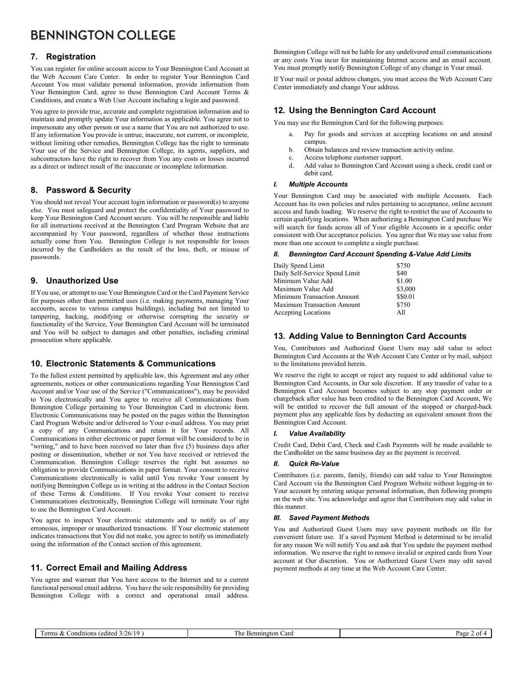# **7. Registration**

You can register for online account access to Your Bennington Card Account at the Web Account Care Center. In order to register Your Bennington Card Account You must validate personal information, provide information from Your Bennington Card, agree to these Bennington Card Account Terms & Conditions, and create a Web User Account including a login and password.

You agree to provide true, accurate and complete registration information and to maintain and promptly update Your information as applicable. You agree not to impersonate any other person or use a name that You are not authorized to use. If any information You provide is untrue, inaccurate, not current, or incomplete, without limiting other remedies, Bennington College has the right to terminate Your use of the Service and Bennington College, its agents, suppliers, and subcontractors have the right to recover from You any costs or losses incurred as a direct or indirect result of the inaccurate or incomplete information.

# **8. Password & Security**

You should not reveal Your account login information or password(s) to anyone else. You must safeguard and protect the confidentiality of Your password to keep Your Bennington Card Account secure. You will be responsible and liable for all instructions received at the Bennington Card Program Website that are accompanied by Your password, regardless of whether those instructions actually come from You. Bennington College is not responsible for losses incurred by the Cardholders as the result of the loss, theft, or misuse of passwords.

# **9. Unauthorized Use**

If You use, or attempt to use Your Bennington Card or the Card Payment Service for purposes other than permitted uses (i.e. making payments, managing Your accounts, access to various campus buildings), including but not limited to tampering, hacking, modifying or otherwise corrupting the security or functionality of the Service, Your Bennington Card Account will be terminated and You will be subject to damages and other penalties, including criminal prosecution where applicable.

# **10. Electronic Statements & Communications**

To the fullest extent permitted by applicable law, this Agreement and any other agreements, notices or other communications regarding Your Bennington Card Account and/or Your use of the Service ("Communications"), may be provided to You electronically and You agree to receive all Communications from Bennington College pertaining to Your Bennington Card in electronic form. Electronic Communications may be posted on the pages within the Bennington Card Program Website and/or delivered to Your e-mail address. You may print a copy of any Communications and retain it for Your records. All Communications in either electronic or paper format will be considered to be in "writing," and to have been received no later than five (5) business days after posting or dissemination, whether or not You have received or retrieved the Communication. Bennington College reserves the right but assumes no obligation to provide Communications in paper format. Your consent to receive Communications electronically is valid until You revoke Your consent by notifying Bennington College us in writing at the address in the Contact Section of these Terms & Conditions. If You revoke Your consent to receive Communications electronically, Bennington College will terminate Your right to use the Bennington Card Account.

You agree to inspect Your electronic statements and to notify us of any erroneous, improper or unauthorized transactions. If Your electronic statement indicates transactions that You did not make, you agree to notify us immediately using the information of the Contact section of this agreement.

# **11. Correct Email and Mailing Address**

You agree and warrant that You have access to the Internet and to a current functional personal email address. You have the sole responsibility for providing Bennington College with a correct and operational email address.

Bennington College will not be liable for any undelivered email communications or any costs You incur for maintaining Internet access and an email account. You must promptly notify Bennington College of any change in Your email.

If Your mail or postal address changes, you must access the Web Account Care Center immediately and change Your address.

# **12. Using the Bennington Card Account**

You may use the Bennington Card for the following purposes:

- a. Pay for goods and services at accepting locations on and around campus.
- b. Obtain balances and review transaction activity online.
- c. Access telephone customer support.
- d. Add value to Bennington Card Account using a check, credit card or debit card.

### *I. Multiple Accounts*

Your Bennington Card may be associated with multiple Accounts. Each Account has its own policies and rules pertaining to acceptance, online account access and funds loading. We reserve the right to restrict the use of Accounts to certain qualifying locations. When authorizing a Bennington Card purchase We will search for funds across all of Your eligible Accounts in a specific order consistent with Our acceptance policies. You agree that We may use value from more than one account to complete a single purchase.

#### *II. Bennington Card Account Spending &-Value Add Limits*

| Daily Spend Limit              | \$750    |
|--------------------------------|----------|
| Daily Self-Service Spend Limit | \$40     |
| Minimum Value Add              | \$1.00   |
| Maximum Value Add              | \$3,000  |
| Minimum Transaction Amount     | \$\$0.01 |
| Maximum Transaction Amount     | \$750    |
| <b>Accepting Locations</b>     | A11      |
|                                |          |

## **13. Adding Value to Bennington Card Accounts**

You, Contributors and Authorized Guest Users may add value to select Bennington Card Accounts at the Web Account Care Center or by mail, subject to the limitations provided herein.

We reserve the right to accept or reject any request to add additional value to Bennington Card Accounts, in Our sole discretion. If any transfer of value to a Bennington Card Account becomes subject to any stop payment order or chargeback after value has been credited to the Bennington Card Account, We will be entitled to recover the full amount of the stopped or charged-back payment plus any applicable fees by deducting an equivalent amount from the Bennington Card Account.

### *I. Value Availability*

Credit Card, Debit Card, Check and Cash Payments will be made available to the Cardholder on the same business day as the payment is received.

### *II. Quick Re-Value*

Contributors (i.e. parents, family, friends) can add value to Your Bennington Card Account via the Bennington Card Program Website without logging-in to Your account by entering unique personal information, then following prompts on the web site. You acknowledge and agree that Contributors may add value in this manner.

### *III. Saved Payment Methods*

You and Authorized Guest Users may save payment methods on file for convenient future use. If a saved Payment Method is determined to be invalid for any reason We will notify You and ask that You update the payment method information. We reserve the right to remove invalid or expired cards from Your account at Our discretion. You or Authorized Guest Users may edit saved payment methods at any time at the Web Account Care Center.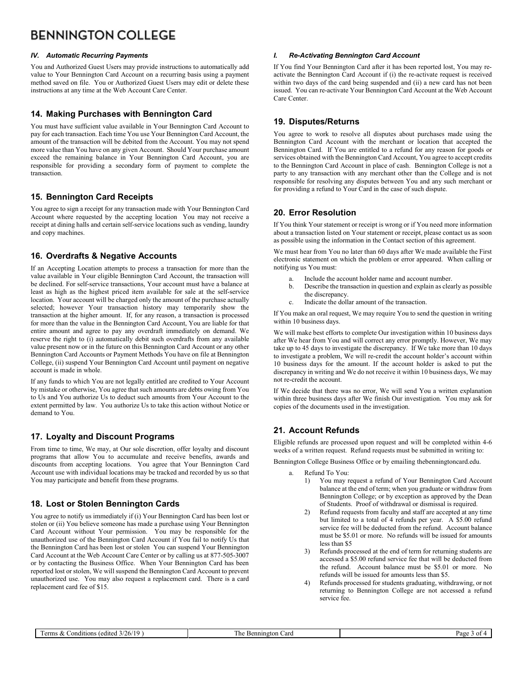### *IV. Automatic Recurring Payments*

You and Authorized Guest Users may provide instructions to automatically add value to Your Bennington Card Account on a recurring basis using a payment method saved on file. You or Authorized Guest Users may edit or delete these instructions at any time at the Web Account Care Center.

### **14. Making Purchases with Bennington Card**

You must have sufficient value available in Your Bennington Card Account to pay for each transaction. Each time You use Your Bennington Card Account, the amount of the transaction will be debited from the Account. You may not spend more value than You have on any given Account. Should Your purchase amount exceed the remaining balance in Your Bennington Card Account, you are responsible for providing a secondary form of payment to complete the transaction.

## **15. Bennington Card Receipts**

You agree to sign a receipt for any transaction made with Your Bennington Card Account where requested by the accepting location You may not receive a receipt at dining halls and certain self-service locations such as vending, laundry and copy machines.

## **16. Overdrafts & Negative Accounts**

If an Accepting Location attempts to process a transaction for more than the value available in Your eligible Bennington Card Account, the transaction will be declined. For self-service transactions, Your account must have a balance at least as high as the highest priced item available for sale at the self-service location. Your account will be charged only the amount of the purchase actually selected; however Your transaction history may temporarily show the transaction at the higher amount. If, for any reason, a transaction is processed for more than the value in the Bennington Card Account, You are liable for that entire amount and agree to pay any overdraft immediately on demand. We reserve the right to (i) automatically debit such overdrafts from any available value present now or in the future on this Bennington Card Account or any other Bennington Card Accounts or Payment Methods You have on file at Bennington College, (ii) suspend Your Bennington Card Account until payment on negative account is made in whole.

If any funds to which You are not legally entitled are credited to Your Account by mistake or otherwise, You agree that such amounts are debts owing from You to Us and You authorize Us to deduct such amounts from Your Account to the extent permitted by law. You authorize Us to take this action without Notice or demand to You.

# **17. Loyalty and Discount Programs**

From time to time, We may, at Our sole discretion, offer loyalty and discount programs that allow You to accumulate and receive benefits, awards and discounts from accepting locations. You agree that Your Bennington Card Account use with individual locations may be tracked and recorded by us so that You may participate and benefit from these programs.

### **18. Lost or Stolen Bennington Cards**

You agree to notify us immediately if (i) Your Bennington Card has been lost or stolen or (ii) You believe someone has made a purchase using Your Bennington Card Account without Your permission. You may be responsible for the unauthorized use of the Bennington Card Account if You fail to notify Us that the Bennington Card has been lost or stolen You can suspend Your Bennington Card Account at the Web Account Care Center or by calling us at 877-505-3007 or by contacting the Business Office. When Your Bennington Card has been reported lost or stolen, We will suspend the Bennington Card Account to prevent unauthorized use. You may also request a replacement card. There is a card replacement card fee of \$15.

#### *I. Re-Activating Bennington Card Account*

If You find Your Bennington Card after it has been reported lost, You may reactivate the Bennington Card Account if (i) the re-activate request is received within two days of the card being suspended and (ii) a new card has not been issued. You can re-activate Your Bennington Card Account at the Web Account Care Center.

## **19. Disputes/Returns**

You agree to work to resolve all disputes about purchases made using the Bennington Card Account with the merchant or location that accepted the Bennington Card. If You are entitled to a refund for any reason for goods or services obtained with the Bennington Card Account, You agree to accept credits to the Bennington Card Account in place of cash. Bennington College is not a party to any transaction with any merchant other than the College and is not responsible for resolving any disputes between You and any such merchant or for providing a refund to Your Card in the case of such dispute.

# **20. Error Resolution**

If You think Your statement or receipt is wrong or if You need more information about a transaction listed on Your statement or receipt, please contact us as soon as possible using the information in the Contact section of this agreement.

We must hear from You no later than 60 days after We made available the First electronic statement on which the problem or error appeared. When calling or notifying us You must:

- a. Include the account holder name and account number.
- b. Describe the transaction in question and explain as clearly as possible the discrepancy.
- c. Indicate the dollar amount of the transaction.

If You make an oral request, We may require You to send the question in writing within 10 business days.

We will make best efforts to complete Our investigation within 10 business days after We hear from You and will correct any error promptly. However, We may take up to 45 days to investigate the discrepancy. If We take more than 10 days to investigate a problem, We will re-credit the account holder's account within 10 business days for the amount. If the account holder is asked to put the discrepancy in writing and We do not receive it within 10 business days, We may not re-credit the account.

If We decide that there was no error, We will send You a written explanation within three business days after We finish Our investigation. You may ask for copies of the documents used in the investigation.

# **21. Account Refunds**

Eligible refunds are processed upon request and will be completed within 4-6 weeks of a written request. Refund requests must be submitted in writing to:

Bennington College Business Office or by emailing thebenningtoncard.edu.

- a. Refund To You:
	- 1) You may request a refund of Your Bennington Card Account balance at the end of term; when you graduate or withdraw from Bennington College; or by exception as approved by the Dean of Students. Proof of withdrawal or dismissal is required.
	- 2) Refund requests from faculty and staff are accepted at any time but limited to a total of 4 refunds per year. A \$5.00 refund service fee will be deducted from the refund. Account balance must be \$5.01 or more. No refunds will be issued for amounts less than \$5
	- 3) Refunds processed at the end of term for returning students are accessed a \$5.00 refund service fee that will be deducted from the refund. Account balance must be \$5.01 or more. No refunds will be issued for amounts less than \$5.
	- 4) Refunds processed for students graduating, withdrawing, or not returning to Bennington College are not accessed a refund service fee.